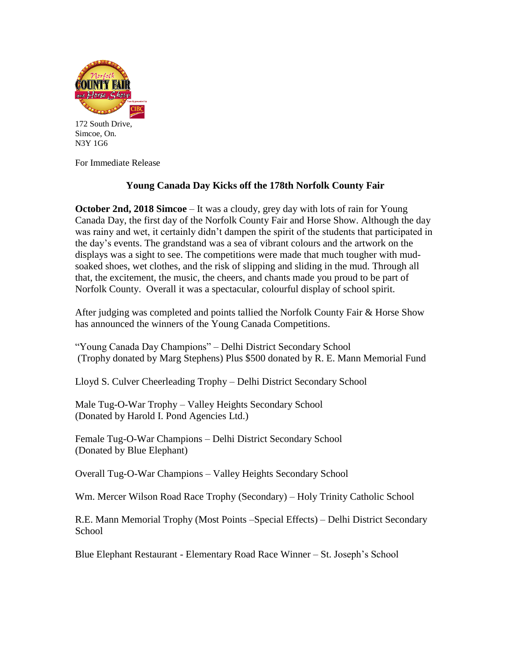

172 South Drive, Simcoe, On. N3Y 1G6

For Immediate Release

## **Young Canada Day Kicks off the 178th Norfolk County Fair**

**October 2nd, 2018 Simcoe** – It was a cloudy, grey day with lots of rain for Young Canada Day, the first day of the Norfolk County Fair and Horse Show. Although the day was rainy and wet, it certainly didn't dampen the spirit of the students that participated in the day's events. The grandstand was a sea of vibrant colours and the artwork on the displays was a sight to see. The competitions were made that much tougher with mudsoaked shoes, wet clothes, and the risk of slipping and sliding in the mud. Through all that, the excitement, the music, the cheers, and chants made you proud to be part of Norfolk County. Overall it was a spectacular, colourful display of school spirit.

After judging was completed and points tallied the Norfolk County Fair & Horse Show has announced the winners of the Young Canada Competitions.

"Young Canada Day Champions" – Delhi District Secondary School (Trophy donated by Marg Stephens) Plus \$500 donated by R. E. Mann Memorial Fund

Lloyd S. Culver Cheerleading Trophy – Delhi District Secondary School

Male Tug-O-War Trophy – Valley Heights Secondary School (Donated by Harold I. Pond Agencies Ltd.)

Female Tug-O-War Champions – Delhi District Secondary School (Donated by Blue Elephant)

Overall Tug-O-War Champions – Valley Heights Secondary School

Wm. Mercer Wilson Road Race Trophy (Secondary) – Holy Trinity Catholic School

R.E. Mann Memorial Trophy (Most Points –Special Effects) – Delhi District Secondary School

Blue Elephant Restaurant - Elementary Road Race Winner – St. Joseph's School